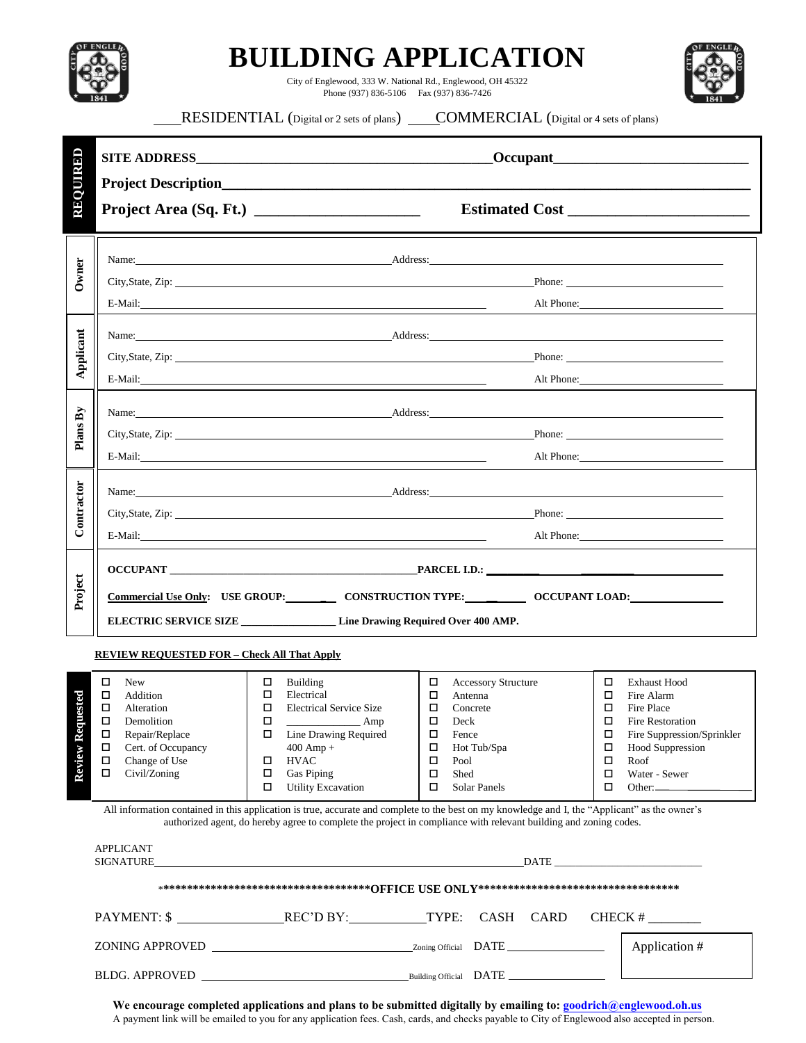| OF ENGLE $\vec{k}$ |  |
|--------------------|--|
|                    |  |

## **BUILDING APPLICATION**

City of Englewood, 333 W. National Rd., Englewood, OH 45322 Phone (937) 836-5106 Fax (937) 836-7426



## **RESIDENTIAL** (Digital or 2 sets of plans) **COMMERCIAL** (Digital or 4 sets of plans)

| REQUIRED              |                                                                                                                                                                                                                                                                                                                                                                                                                                                                                                                                                      |                                                                                                                                                                                                                                                                                                                                                                                                                                                                                                |                                                                                                                                                                                                                                   |  |  |  |
|-----------------------|------------------------------------------------------------------------------------------------------------------------------------------------------------------------------------------------------------------------------------------------------------------------------------------------------------------------------------------------------------------------------------------------------------------------------------------------------------------------------------------------------------------------------------------------------|------------------------------------------------------------------------------------------------------------------------------------------------------------------------------------------------------------------------------------------------------------------------------------------------------------------------------------------------------------------------------------------------------------------------------------------------------------------------------------------------|-----------------------------------------------------------------------------------------------------------------------------------------------------------------------------------------------------------------------------------|--|--|--|
|                       |                                                                                                                                                                                                                                                                                                                                                                                                                                                                                                                                                      |                                                                                                                                                                                                                                                                                                                                                                                                                                                                                                |                                                                                                                                                                                                                                   |  |  |  |
| Owner                 | Name: Address: Address: Address: Address: Address: Address: Address: Address: Address: Address: Address: Address: Address: Address: Address: Address: Address: Address: Address: Address: Address: Address: Address: Address:<br>City, State, Zip: 2008. The Contract of the City, State, Zip:                                                                                                                                                                                                                                                       |                                                                                                                                                                                                                                                                                                                                                                                                                                                                                                | Phone:                                                                                                                                                                                                                            |  |  |  |
| Applicant             | Alt Phone:<br>Name: Address: Address: Address: Address: Address: Address: Address: Address: Address: Address: Address: Address: Address: Address: Address: Address: Address: Address: Address: Address: Address: Address: Address: Address:<br>City, State, Zip: Phone: Phone: Phone: Phone: Phone: Phone: Phone: Phone: Phone: Phone: Phone: Phone: Phone: Phone: Phone: Phone: Phone: Phone: Phone: Phone: Phone: Phone: Phone: Phone: Phone: Phone: Phone: Phone: Phone: P<br>Alt Phone:                                                          |                                                                                                                                                                                                                                                                                                                                                                                                                                                                                                |                                                                                                                                                                                                                                   |  |  |  |
| Plans By              | E-Mail:                                                                                                                                                                                                                                                                                                                                                                                                                                                                                                                                              | Name: Address: Address: Address: Address: Address: Address: Address: Address: Address: Address: Address: Address: Address: Address: Address: Address: Address: Address: Address: Address: Address: Address: Address: Address:<br>City, State, Zip: Phone: Phone: Phone: Phone: Phone: Phone: Phone: Phone: Phone: Phone: Phone: Phone: Phone: Phone: Phone: Phone: Phone: Phone: Phone: Phone: Phone: Phone: Phone: Phone: Phone: Phone: Phone: Phone: Phone: P<br>Alt Phone:                  |                                                                                                                                                                                                                                   |  |  |  |
| Contractor            |                                                                                                                                                                                                                                                                                                                                                                                                                                                                                                                                                      | Name: <u>Address:</u> Address: Address: Address: Address: Address: Address: Address: Address: Address: Address: Address: Address: Address: Address: Address: Address: Address: Address: Address: Address: Address: Address: Address<br>City, State, Zip: Phone: Phone: Phone: Phone: Phone: Phone: Phone: Phone: Phone: Phone: Phone: Phone: Phone: Phone: Phone: Phone: Phone: Phone: Phone: Phone: Phone: Phone: Phone: Phone: Phone: Phone: Phone: Phone: Phone: P<br>E-Mail:<br>Alt Phone: |                                                                                                                                                                                                                                   |  |  |  |
| Project               | Commercial Use Only: USE GROUP: CONSTRUCTION TYPE: OCCUPANT LOAD:<br>ELECTRIC SERVICE SIZE ___________________Line Drawing Required Over 400 AMP.                                                                                                                                                                                                                                                                                                                                                                                                    |                                                                                                                                                                                                                                                                                                                                                                                                                                                                                                |                                                                                                                                                                                                                                   |  |  |  |
| quested<br>Review Ree | <b>REVIEW REQUESTED FOR - Check All That Apply</b><br>□<br><b>New</b><br>Building<br>□<br>$\Box$<br>Electrical<br>Addition<br>$\Box$<br>$\Box$<br><b>Electrical Service Size</b><br>Alteration<br>П<br>Demolition<br>□<br>$\frac{1}{\sqrt{1-\frac{1}{2}}\sqrt{1-\frac{1}{2}}\left(\frac{1}{2}-\frac{1}{2}\right)}$<br>Repair/Replace<br>□<br>Line Drawing Required<br>□<br>Д<br>Cert. of Occupancy<br>$400$ Amp +<br>$\Box$<br><b>HVAC</b><br>Change of Use<br>$\Box$<br>П<br>Civil/Zoning<br>$\Box$<br>Gas Piping<br><b>Utility Excavation</b><br>□ | <b>Accessory Structure</b><br>0<br>Antenna<br>Concrete<br>0<br>Deck<br>□<br>Fence<br>□<br>Hot Tub/Spa<br>Pool<br>□<br>□<br>Shed<br>□<br>Solar Panels                                                                                                                                                                                                                                                                                                                                           | □<br><b>Exhaust Hood</b><br>п<br>Fire Alarm<br>$\Box$<br>Fire Place<br>□<br>Fire Restoration<br>Fire Suppression/Sprinkler<br>□<br>□<br><b>Hood Suppression</b><br>□<br>Roof<br>□<br>Water - Sewer<br>□<br>Other: $\qquad \qquad$ |  |  |  |
|                       | All information contained in this application is true, accurate and complete to the best on my knowledge and I, the "Applicant" as the owner's<br>authorized agent, do hereby agree to complete the project in compliance with relevant building and zoning codes.<br><b>APPLICANT</b><br>SIGNATURE<br><u>DATE</u>                                                                                                                                                                                                                                   |                                                                                                                                                                                                                                                                                                                                                                                                                                                                                                |                                                                                                                                                                                                                                   |  |  |  |
|                       | CASH CARD                                                                                                                                                                                                                                                                                                                                                                                                                                                                                                                                            |                                                                                                                                                                                                                                                                                                                                                                                                                                                                                                |                                                                                                                                                                                                                                   |  |  |  |
|                       | Application #                                                                                                                                                                                                                                                                                                                                                                                                                                                                                                                                        |                                                                                                                                                                                                                                                                                                                                                                                                                                                                                                |                                                                                                                                                                                                                                   |  |  |  |
|                       |                                                                                                                                                                                                                                                                                                                                                                                                                                                                                                                                                      |                                                                                                                                                                                                                                                                                                                                                                                                                                                                                                |                                                                                                                                                                                                                                   |  |  |  |

**We encourage completed applications and plans to be submitted digitally by emailing to: goodrich@englewood.oh.us**  A payment link will be emailed to you for any application fees. Cash, cards, and checks payable to City of Englewood also accepted in person.